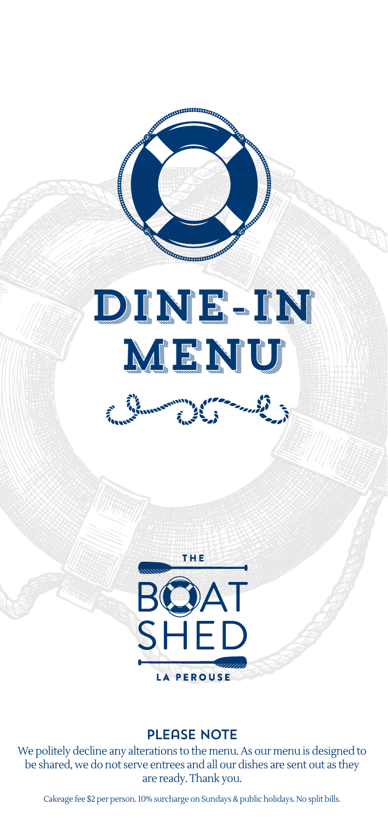





#### PLEASE NOTE

We politely decline any alterations to the menu. As our menu is designed to be shared, we do not serve entrees and all our dishes are sent out as they are ready. Thank you.

Cakeage fee \$2 per person. 10% surcharge on Sundays & public holidays. No split bills.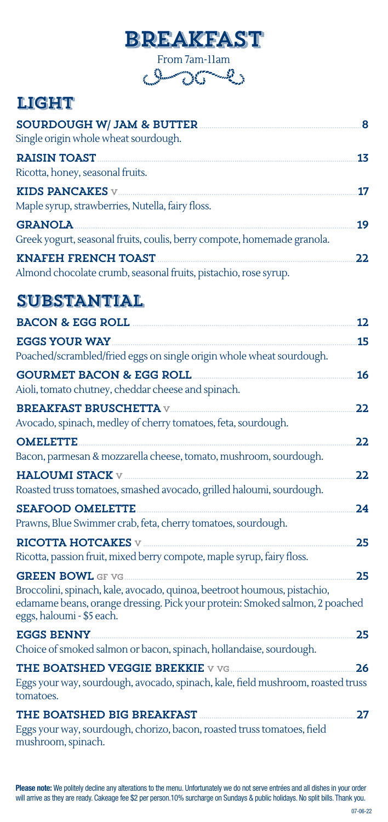

From 7am-11am

# LIGHT

| <b>SOURDOUGH W/ JAM &amp; BUTTER</b><br>Single origin whole wheat sourdough.                  | 8  |
|-----------------------------------------------------------------------------------------------|----|
| <b>RAISIN TOAST</b><br>Ricotta, honey, seasonal fruits.                                       | 13 |
| KIDS PANCAKES $v$<br>Maple syrup, strawberries, Nutella, fairy floss.                         | 17 |
| <b>GRANOLA</b><br>Greek yogurt, seasonal fruits, coulis, berry compote, homemade granola.     | 19 |
| <b>KNAFEH FRENCH TOAST</b><br>Almond chocolate crumb, seasonal fruits, pistachio, rose syrup. | 22 |

## **SUBSTANTIAL**

| <b>BACON &amp; EGG ROLL</b><br>12                                                                                                                                                                                     |  |
|-----------------------------------------------------------------------------------------------------------------------------------------------------------------------------------------------------------------------|--|
| <b>EGGS YOUR WAY</b><br>15<br>Poached/scrambled/fried eggs on single origin whole wheat sourdough.                                                                                                                    |  |
| <b>GOURMET BACON &amp; EGG ROLL</b><br>16<br>Aioli, tomato chutney, cheddar cheese and spinach.                                                                                                                       |  |
| <b>BREAKFAST BRUSCHETTA V</b><br>22<br>Avocado, spinach, medley of cherry tomatoes, feta, sourdough.                                                                                                                  |  |
| <b>OMELETTE</b><br>22                                                                                                                                                                                                 |  |
| Bacon, parmesan & mozzarella cheese, tomato, mushroom, sourdough.                                                                                                                                                     |  |
| <b>HALOUMI STACK V</b><br>22<br>Roasted truss tomatoes, smashed avocado, grilled haloumi, sourdough.                                                                                                                  |  |
| <b>SEAFOOD OMELETTE</b><br>24                                                                                                                                                                                         |  |
| Prawns, Blue Swimmer crab, feta, cherry tomatoes, sourdough.                                                                                                                                                          |  |
| RICOTTA HOTCAKES $\nabla$<br>25                                                                                                                                                                                       |  |
| Ricotta, passion fruit, mixed berry compote, maple syrup, fairy floss.                                                                                                                                                |  |
| <b>GREEN BOWL GF VG</b><br>25<br>Broccolini, spinach, kale, avocado, quinoa, beetroot houmous, pistachio,<br>edamame beans, orange dressing. Pick your protein: Smoked salmon, 2 poached<br>eggs, haloumi - \$5 each. |  |
| <b>EGGS BENNY</b><br>25                                                                                                                                                                                               |  |
| Choice of smoked salmon or bacon, spinach, hollandaise, sourdough.                                                                                                                                                    |  |
| <b>THE BOATSHED VEGGIE BREKKIE V VG</b><br>26<br>Eggs your way, sourdough, avocado, spinach, kale, field mushroom, roasted truss<br>tomatoes.                                                                         |  |
| THE BOATSHED BIG BREAKFAST<br>27                                                                                                                                                                                      |  |
| Eggs your way, sourdough, chorizo, bacon, roasted truss tomatoes, field<br>mushroom, spinach.                                                                                                                         |  |

Please note: We politely decline any alterations to the menu. Unfortunately we do not serve entrées and all dishes in your order will arrive as they are ready. Cakeage fee \$2 per person.10% surcharge on Sundays & public holidays. No split bills. Thank you.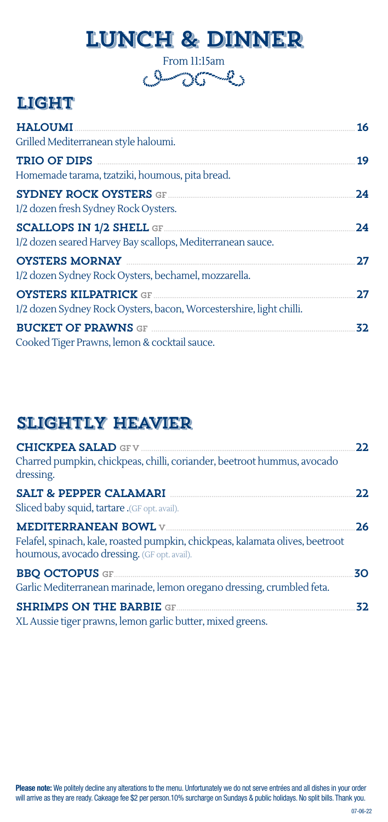# LUNCH & DINNER

From 11:15am

# LIGHT

| <b>HALOUMI</b>                                                                | 16 |
|-------------------------------------------------------------------------------|----|
| Grilled Mediterranean style haloumi.                                          |    |
| TRIO OF DIPS                                                                  | 19 |
| Homemade tarama, tzatziki, houmous, pita bread.                               |    |
| <b>SYDNEY ROCK OYSTERS GF</b><br>1/2 dozen fresh Sydney Rock Oysters.         | 24 |
|                                                                               | 24 |
| 1/2 dozen seared Harvey Bay scallops, Mediterranean sauce.                    |    |
| <b>OYSTERS MORNAY</b>                                                         | 27 |
| 1/2 dozen Sydney Rock Oysters, bechamel, mozzarella.                          |    |
| <b>OYSTERS KILPATRICK GF</b>                                                  | 27 |
| 1/2 dozen Sydney Rock Oysters, bacon, Worcestershire, light chilli.           |    |
| <b>BUCKET OF PRAWNS GF EXECUTIVE PROPERTY OF PRAWNS GF EXECUTIVE PROPERTY</b> | 32 |
| Cooked Tiger Prawns, lemon & cocktail sauce.                                  |    |

# Slightly Heavier

|                                                                                                                              | 22  |
|------------------------------------------------------------------------------------------------------------------------------|-----|
| Charred pumpkin, chickpeas, chilli, coriander, beetroot hummus, avocado<br>dressing.                                         |     |
| <b>SALT &amp; PEPPER CALAMARI</b>                                                                                            | 22  |
| Sliced baby squid, tartare .(GF opt. avail).                                                                                 |     |
| Felafel, spinach, kale, roasted pumpkin, chickpeas, kalamata olives, beetroot<br>houmous, avocado dressing. (GF opt. avail). | 26  |
| <b>BBQ OCTOPUS GF</b><br>Garlic Mediterranean marinade, lemon oregano dressing, crumbled feta.                               | 30  |
| <b>SHRIMPS ON THE BARBIE GF</b><br>XL Aussie tiger prawns, lemon garlic butter, mixed greens.                                | 32. |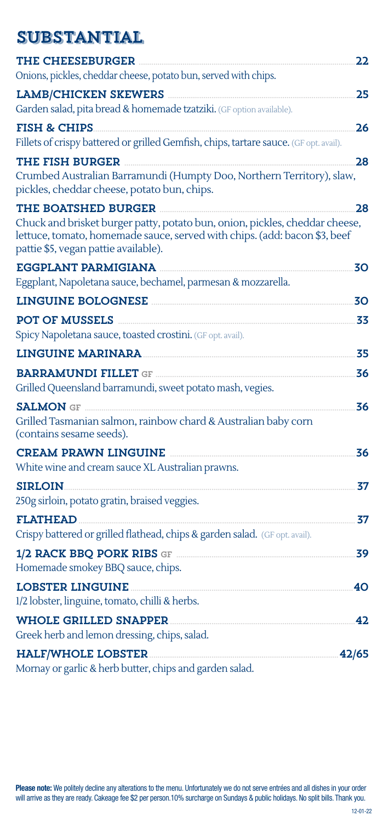## **SUBSTANTIAL**

| <b>THE CHEESEBURGER</b>                                                                                                                                                                          | 22    |
|--------------------------------------------------------------------------------------------------------------------------------------------------------------------------------------------------|-------|
| Onions, pickles, cheddar cheese, potato bun, served with chips.                                                                                                                                  |       |
| <b>LAMB/CHICKEN SKEWERS</b>                                                                                                                                                                      | 25    |
| Garden salad, pita bread & homemade tzatziki. (GF option available).                                                                                                                             |       |
| <b>FISH &amp; CHIPS</b>                                                                                                                                                                          | 26    |
| Fillets of crispy battered or grilled Gemfish, chips, tartare sauce. (GF opt. avail).                                                                                                            |       |
| THE FISH BURGER <b>THE REA</b><br>Crumbed Australian Barramundi (Humpty Doo, Northern Territory), slaw,                                                                                          | 28    |
| pickles, cheddar cheese, potato bun, chips.                                                                                                                                                      |       |
| THE BOATSHED BURGER                                                                                                                                                                              | 28    |
| Chuck and brisket burger patty, potato bun, onion, pickles, cheddar cheese,<br>lettuce, tomato, homemade sauce, served with chips. (add: bacon \$3, beef<br>pattie \$5, vegan pattie available). |       |
| <b>EGGPLANT PARMIGIANA</b>                                                                                                                                                                       | 30    |
| Eggplant, Napoletana sauce, bechamel, parmesan & mozzarella.                                                                                                                                     |       |
| <b>LINGUINE BOLOGNESE</b>                                                                                                                                                                        | 30    |
| <b>POT OF MUSSELS</b>                                                                                                                                                                            | 33    |
| Spicy Napoletana sauce, toasted crostini. (GF opt. avail).                                                                                                                                       |       |
| <b>LINGUINE MARINARA</b>                                                                                                                                                                         | 35    |
| <b>BARRAMUNDI FILLET GF </b>                                                                                                                                                                     | 36    |
| Grilled Queensland barramundi, sweet potato mash, vegies.                                                                                                                                        |       |
| <b>SALMON GF</b>                                                                                                                                                                                 | 36    |
| Grilled Tasmanian salmon, rainbow chard & Australian baby corn<br>(contains sesame seeds).                                                                                                       |       |
| <b>CREAM PRAWN LINGUINE</b>                                                                                                                                                                      | 36    |
| White wine and cream sauce XL Australian prawns.                                                                                                                                                 |       |
| <b>SIRLOIN</b>                                                                                                                                                                                   | 37    |
| 250g sirloin, potato gratin, braised veggies.                                                                                                                                                    |       |
| <b>FLATHEAD</b>                                                                                                                                                                                  | 37    |
| Crispy battered or grilled flathead, chips & garden salad. (GF opt. avail).                                                                                                                      |       |
| 1/2 RACK BBQ PORK RIBS GF<br>Homemade smokey BBQ sauce, chips.                                                                                                                                   | 39    |
| <b>LOBSTER LINGUINE</b>                                                                                                                                                                          | 40    |
| 1/2 lobster, linguine, tomato, chilli & herbs.                                                                                                                                                   |       |
| <b>WHOLE GRILLED SNAPPER</b>                                                                                                                                                                     | 42    |
| Greek herb and lemon dressing, chips, salad.                                                                                                                                                     |       |
| <b>HALF/WHOLE LOBSTER</b><br>Mornay or garlic & herb butter, chips and garden salad.                                                                                                             | 42/65 |
|                                                                                                                                                                                                  |       |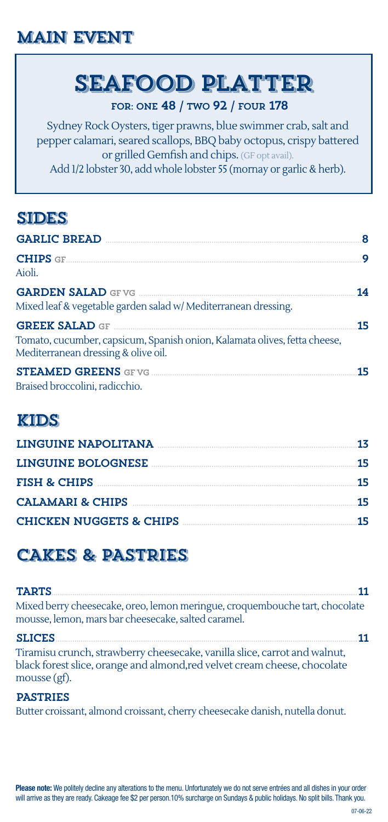# Main Event

# SEAFOOD PLATTER

#### FOR: ONE 48 / TWO 92 / FOUR 178

Sydney Rock Oysters, tiger prawns, blue swimmer crab, salt and pepper calamari, seared scallops, BBQ baby octopus, crispy battered or grilled Gemfish and chips. (GF opt avail). Add 1/2 lobster 30, add whole lobster 55 (mornay or garlic & herb).

# **SIDES**

| <b>GARLIC BREAD</b>                                                                                                                       | 8  |
|-------------------------------------------------------------------------------------------------------------------------------------------|----|
| <b>CHIPS</b> GF<br>Aioli.                                                                                                                 | 9  |
| <b>GARDEN SALAD</b> GEVG <b>SALAD</b><br>Mixed leaf & vegetable garden salad w/ Mediterranean dressing.                                   | 14 |
| <b>GREEK SALAD GF</b><br>Tomato, cucumber, capsicum, Spanish onion, Kalamata olives, fetta cheese,<br>Mediterranean dressing & olive oil. | 15 |
| Braised broccolini, radicchio.                                                                                                            | 15 |

### Kids

| LINGUINE NAPOLITANA                | 13 |
|------------------------------------|----|
| LINGUINE BOLOGNESE                 | 15 |
| <b>FISH &amp; CHIPS</b>            | 15 |
| CALAMARI & CHIPS                   | 15 |
| <b>CHICKEN NUGGETS &amp; CHIPS</b> | 15 |

# CAKES & PASTRIES

| <b>TARTS</b>                                                                                                                                                           |  |
|------------------------------------------------------------------------------------------------------------------------------------------------------------------------|--|
| Mixed berry cheesecake, oreo, lemon meringue, croquembouche tart, chocolate<br>mousse, lemon, mars bar cheesecake, salted caramel.                                     |  |
| <b>SLICES</b>                                                                                                                                                          |  |
| Tiramisu crunch, strawberry cheesecake, vanilla slice, carrot and walnut,<br>black forest slice, orange and almond, red velvet cream cheese, chocolate<br>mousse (gf). |  |

#### PASTRIES

Butter croissant, almond croissant, cherry cheesecake danish, nutella donut.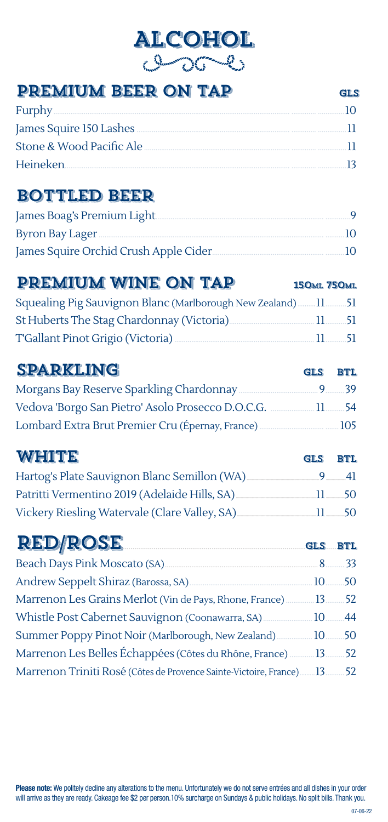# **ALCOHOL**

| PREMIUM BEER ON TAP                                                                                                                                                                                                            |                    | <b>GLS</b>  |
|--------------------------------------------------------------------------------------------------------------------------------------------------------------------------------------------------------------------------------|--------------------|-------------|
| Furphy                                                                                                                                                                                                                         |                    | 10          |
|                                                                                                                                                                                                                                |                    |             |
| Stone & Wood Pacific Ale Committee Contract Committee Contract Committee Contract Committee Committee Contract                                                                                                                 |                    | л           |
| Heineken                                                                                                                                                                                                                       |                    |             |
| <b>BOTTLED BEER</b>                                                                                                                                                                                                            |                    |             |
| James Boag's Premium Light [1976] [1976] [1976] [1976] [1976] [1976] [1976] [1976] [1976] [1976] [1976] [1976] [1976] [1976] [1976] [1976] [1976] [1976] [1976] [1976] [1976] [1976] [1976] [1976] [1976] [1976] [1976] [1976] |                    |             |
|                                                                                                                                                                                                                                |                    |             |
| James Squire Orchid Crush Apple Cider                                                                                                                                                                                          |                    |             |
| PREMIUM WINE ON TAP                                                                                                                                                                                                            | <b>150ML 750ML</b> |             |
| Squealing Pig Sauvignon Blanc (Marlborough New Zealand)  11  51                                                                                                                                                                |                    |             |
| St Huberts The Stag Chardonnay (Victoria) [11 [11 ] [13] 51                                                                                                                                                                    |                    |             |
| T'Gallant Pinot Grigio (Victoria) <b>Maria Accidenti Accidenti Pinot</b> 51                                                                                                                                                    |                    |             |
| <b>SPARKLING</b>                                                                                                                                                                                                               | <b>GLS</b>         | <b>BTL</b>  |
|                                                                                                                                                                                                                                |                    |             |
| Vedova 'Borgo San Pietro' Asolo Prosecco D.O.C.G.  11 54                                                                                                                                                                       |                    |             |
|                                                                                                                                                                                                                                |                    |             |
| <b>WHITE</b>                                                                                                                                                                                                                   | <b>GLS</b>         | <b>BTL</b>  |
| Hartog's Plate Sauvignon Blanc Semillon (WA)                                                                                                                                                                                   | $9-$               | $-41$       |
| Patritti Vermentino 2019 (Adelaide Hills, SA)                                                                                                                                                                                  | $11 \quad 50$      |             |
| Vickery Riesling Watervale (Clare Valley, SA)                                                                                                                                                                                  | 11.                | $-50$       |
| <b>RED/ROSE</b><br>GLS BTL                                                                                                                                                                                                     |                    |             |
|                                                                                                                                                                                                                                |                    | $8\dots 33$ |
|                                                                                                                                                                                                                                |                    |             |
| Marrenon Les Grains Merlot (Vin de Pays, Rhone, France)  13  52                                                                                                                                                                |                    |             |
| Whistle Post Cabernet Sauvignon (Coonawarra, SA)  10  44                                                                                                                                                                       |                    |             |
| Summer Poppy Pinot Noir (Marlborough, New Zealand) [10  10  50                                                                                                                                                                 |                    |             |
| Marrenon Les Belles Échappées (Côtes du Rhône, France) [13.11616162]                                                                                                                                                           |                    |             |
| Marrenon Triniti Rosé (Côtes de Provence Sainte-Victoire, France)13 52                                                                                                                                                         |                    |             |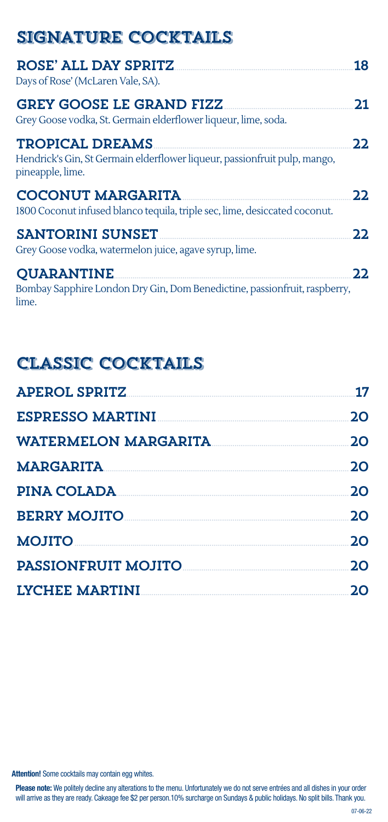| <b>SIGNATURE COCKTAILS</b>                                                                                              |      |
|-------------------------------------------------------------------------------------------------------------------------|------|
| ROSE' ALL DAY SPRITZ<br>Days of Rose' (McLaren Vale, SA).                                                               | 18   |
| <b>GREY GOOSE LE GRAND FIZZ</b><br>Grey Goose vodka, St. Germain elderflower liqueur, lime, soda.                       | 21   |
| <b>TROPICAL DREAMS</b><br>Hendrick's Gin, St Germain elderflower liqueur, passionfruit pulp, mango,<br>pineapple, lime. | 2.2. |
| <b>COCONUT MARGARITA</b><br>1800 Coconut infused blanco tequila, triple sec, lime, desiccated coconut.                  | 2.2. |
| <b>SANTORINI SUNSET</b><br>Grey Goose vodka, watermelon juice, agave syrup, lime.                                       | 22.  |
| <b>OUARANTINE</b><br>Bombay Sapphire London Dry Gin, Dom Benedictine, passionfruit, raspberry,<br>lime.                 | 22.  |

# Classic Cocktails

| <b>APEROL SPRITZ</b>    | 17 |
|-------------------------|----|
| <b>ESPRESSO MARTINI</b> | 20 |
| WATERMELON MARGARITA    | 20 |
| <b>MARGARITA</b>        | 20 |
| PINA COLADA             | 20 |
| <b>BERRY MOJITO</b>     | 20 |
| <b>MOJITO</b>           | 20 |
| PASSIONFRUIT MOJITO     | 20 |
| LYCHEE MARTINI          | 2Ο |

**Attention!** Some cocktails may contain egg whites.

**Please note:** We politely decline any alterations to the menu. Unfortunately we do not serve entrées and all dishes in your order<br>will arrive as they are ready. Cakeage fee \$2 per person.10% surcharge on Sundays & public